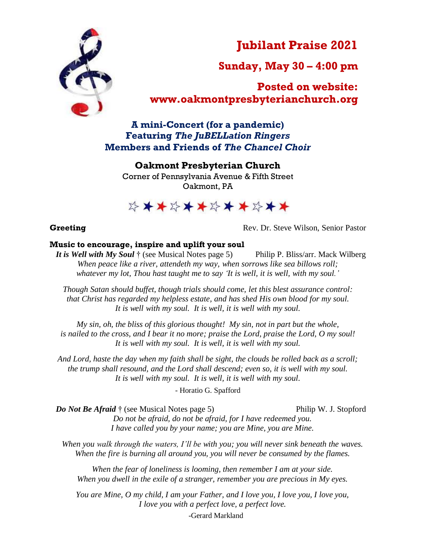**Jubilant Praise 2021**

# **Sunday, May 30 – 4:00 pm**

# **Posted on website: www.oakmontpresbyterianchurch.org**

# **A mini-Concert (for a pandemic) Featuring** *The JuBELLation Ringers* **Members and Friends of** *The Chancel Choir*

## **Oakmont Presbyterian Church**

Corner of Pennsylvania Avenue & Fifth Street Oakmont, PA

# \*\*\*\*\*\*\*\*\*\*\*\*

**Greeting Greeting Rev. Dr. Steve Wilson, Senior Pastor** 

## **Music to encourage, inspire and uplift your soul**

*It is Well with My Soul*  $\dagger$  (see Musical Notes page 5) Philip P. Bliss/arr. Mack Wilberg *When peace like a river, attendeth my way, when sorrows like sea billows roll; whatever my lot, Thou hast taught me to say 'It is well, it is well, with my soul.'*

*Though Satan should buffet, though trials should come, let this blest assurance control: that Christ has regarded my helpless estate, and has shed His own blood for my soul. It is well with my soul. It is well, it is well with my soul.*

*My sin, oh, the bliss of this glorious thought! My sin, not in part but the whole, is nailed to the cross, and I bear it no more; praise the Lord, praise the Lord, O my soul! It is well with my soul. It is well, it is well with my soul.*

*And Lord, haste the day when my faith shall be sight, the clouds be rolled back as a scroll; the trump shall resound, and the Lord shall descend; even so, it is well with my soul. It is well with my soul. It is well, it is well with my soul.*

- Horatio G. Spafford

*Do Not Be Afraid* † (see Musical Notes page 5) Philip W. J. Stopford *Do not be afraid, do not be afraid, for I have redeemed you. I have called you by your name; you are Mine, you are Mine.*

*When you walk through the waters, I'll be with you; you will never sink beneath the waves. When the fire is burning all around you, you will never be consumed by the flames.*

*When the fear of loneliness is looming, then remember I am at your side. When you dwell in the exile of a stranger, remember you are precious in My eyes.*

*You are Mine, O my child, I am your Father, and I love you, I love you, I love you, I love you with a perfect love, a perfect love.*

-Gerard Markland

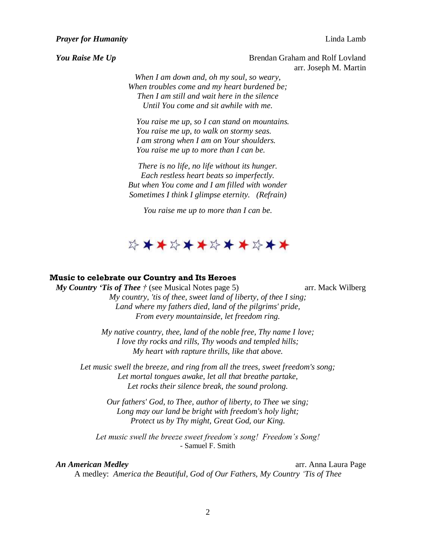#### *Prayer for Humanity* Linda Lamb

*You Raise Me Up* **Brendan Graham and Rolf Lovland** arr. Joseph M. Martin

> *When I am down and, oh my soul, so weary, When troubles come and my heart burdened be; Then I am still and wait here in the silence Until You come and sit awhile with me.*

*You raise me up, so I can stand on mountains. You raise me up, to walk on stormy seas. I am strong when I am on Your shoulders. You raise me up to more than I can be.*

*There is no life, no life without its hunger. Each restless heart beats so imperfectly. But when You come and I am filled with wonder Sometimes I think I glimpse eternity. (Refrain)*

*You raise me up to more than I can be.*



#### **Music to celebrate our Country and Its Heroes**

*My Country 'Tis of Thee*  $\dot{\tau}$  (see Musical Notes page 5) arr. Mack Wilberg

*My country, 'tis of thee, sweet land of liberty, of thee I sing; Land where my fathers died, land of the pilgrims' pride, From every mountainside, let freedom ring.*

*My native country, thee, land of the noble free, Thy name I love; I love thy rocks and rills, Thy woods and templed hills; My heart with rapture thrills, like that above.*

*Let music swell the breeze, and ring from all the trees, sweet freedom's song; Let mortal tongues awake, let all that breathe partake, Let rocks their silence break, the sound prolong.*

> *Our fathers' God, to Thee, author of liberty, to Thee we sing; Long may our land be bright with freedom's holy light; Protect us by Thy might, Great God, our King.*

*Let music swell the breeze sweet freedom's song! Freedom's Song!* - Samuel F. Smith

*An American Medley* arr. Anna Laura Page A medley: *America the Beautiful, God of Our Fathers, My Country 'Tis of Thee*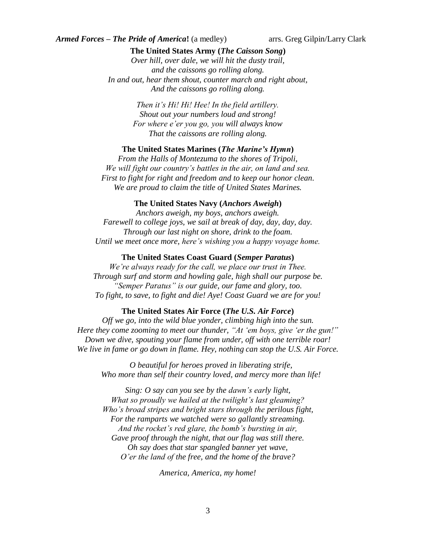#### *Armed Forces – The Pride of America***!** (a medley) arrs. Greg Gilpin/Larry Clark

**The United States Army (***The Caisson Song***)** *Over hill, over dale, we will hit the dusty trail, and the caissons go rolling along. In and out, hear them shout, counter march and right about, And the caissons go rolling along.*

> *Then it's Hi! Hi! Hee! In the field artillery. Shout out your numbers loud and strong! For where e'er you go, you will always know That the caissons are rolling along.*

### **The United States Marines (***The Marine's Hymn***)**

*From the Halls of Montezuma to the shores of Tripoli, We will fight our country's battles in the air, on land and sea. First to fight for right and freedom and to keep our honor clean. We are proud to claim the title of United States Marines.*

#### **The United States Navy (***Anchors Aweigh***)**

*Anchors aweigh, my boys, anchors aweigh. Farewell to college joys, we sail at break of day, day, day, day. Through our last night on shore, drink to the foam. Until we meet once more, here's wishing you a happy voyage home.*

#### **The United States Coast Guard (***Semper Paratus***)**

*We're always ready for the call, we place our trust in Thee. Through surf and storm and howling gale, high shall our purpose be. "Semper Paratus" is our guide, our fame and glory, too. To fight, to save, to fight and die! Aye! Coast Guard we are for you!*

#### **The United States Air Force (***The U.S. Air Force***)**

*Off we go, into the wild blue yonder, climbing high into the sun. Here they come zooming to meet our thunder, "At 'em boys, give 'er the gun!" Down we dive, spouting your flame from under, off with one terrible roar! We live in fame or go down in flame. Hey, nothing can stop the U.S. Air Force.*

*O beautiful for heroes proved in liberating strife, Who more than self their country loved, and mercy more than life!*

*Sing: O say can you see by the dawn's early light, What so proudly we hailed at the twilight's last gleaming? Who's broad stripes and bright stars through the perilous fight, For the ramparts we watched were so gallantly streaming. And the rocket's red glare, the bomb's bursting in air, Gave proof through the night, that our flag was still there. Oh say does that star spangled banner yet wave, O'er the land of the free, and the home of the brave?*

*America, America, my home!*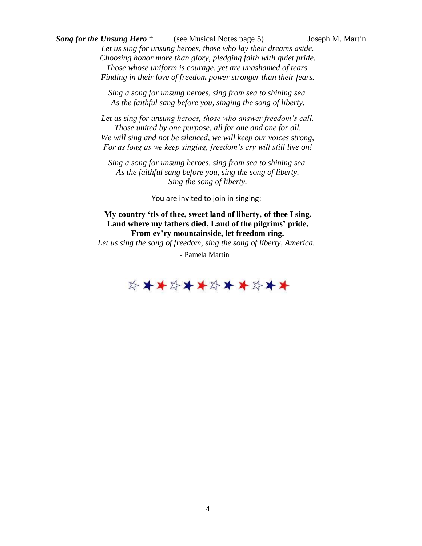**Song for the Unsung Hero**  $\dagger$  (see Musical Notes page 5) Joseph M. Martin *Let us sing for unsung heroes, those who lay their dreams aside. Choosing honor more than glory, pledging faith with quiet pride. Those whose uniform is courage, yet are unashamed of tears. Finding in their love of freedom power stronger than their fears.*

> *Sing a song for unsung heroes, sing from sea to shining sea. As the faithful sang before you, singing the song of liberty.*

*Let us sing for unsung heroes, those who answer freedom's call. Those united by one purpose, all for one and one for all. We will sing and not be silenced, we will keep our voices strong, For as long as we keep singing, freedom's cry will still live on!*

*Sing a song for unsung heroes, sing from sea to shining sea. As the faithful sang before you, sing the song of liberty. Sing the song of liberty.*

You are invited to join in singing:

### **My country 'tis of thee, sweet land of liberty, of thee I sing. Land where my fathers died, Land of the pilgrims' pride, From ev'ry mountainside, let freedom ring.**

*Let us sing the song of freedom, sing the song of liberty, America.*

- Pamela Martin

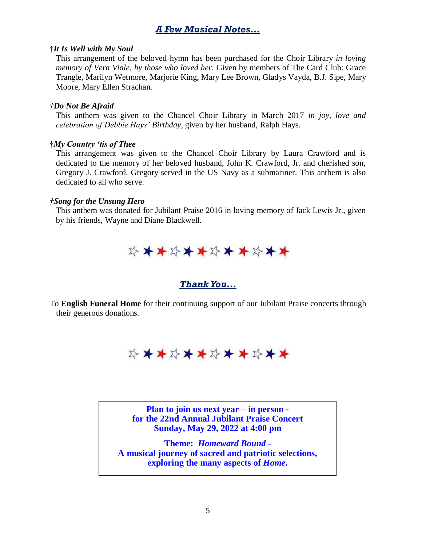# *A Few Musical Notes…*

#### **†***It Is Well with My Soul*

This arrangement of the beloved hymn has been purchased for the Choir Library *in loving memory of Vera Viale, by those who loved her.* Given by members of The Card Club: Grace Trangle, Marilyn Wetmore, Marjorie King, Mary Lee Brown, Gladys Vayda, B.J. Sipe, Mary Moore, Mary Ellen Strachan.

#### *†Do Not Be Afraid*

This anthem was given to the Chancel Choir Library in March 2017 *in joy, love and celebration of Debbie Hays' Birthday*, given by her husband, Ralph Hays.

#### **†***My Country 'tis of Thee*

This arrangement was given to the Chancel Choir Library by Laura Crawford and is dedicated to the memory of her beloved husband, John K. Crawford, Jr. and cherished son, Gregory J. Crawford. Gregory served in the US Navy as a submariner. This anthem is also dedicated to all who serve.

#### *†Song for the Unsung Hero*

This anthem was donated for Jubilant Praise 2016 in loving memory of Jack Lewis Jr., given by his friends, Wayne and Diane Blackwell.



## *Thank You…*

To **English Funeral Home** for their continuing support of our Jubilant Praise concerts through their generous donations.

# \*\*\*\*\*\*\*\*\*\*\*

**Plan to join us next year – in person for the 22nd Annual Jubilant Praise Concert Sunday, May 29, 2022 at 4:00 pm**

**Theme:** *Homeward Bound -* **A musical journey of sacred and patriotic selections, exploring the many aspects of** *Home***.**